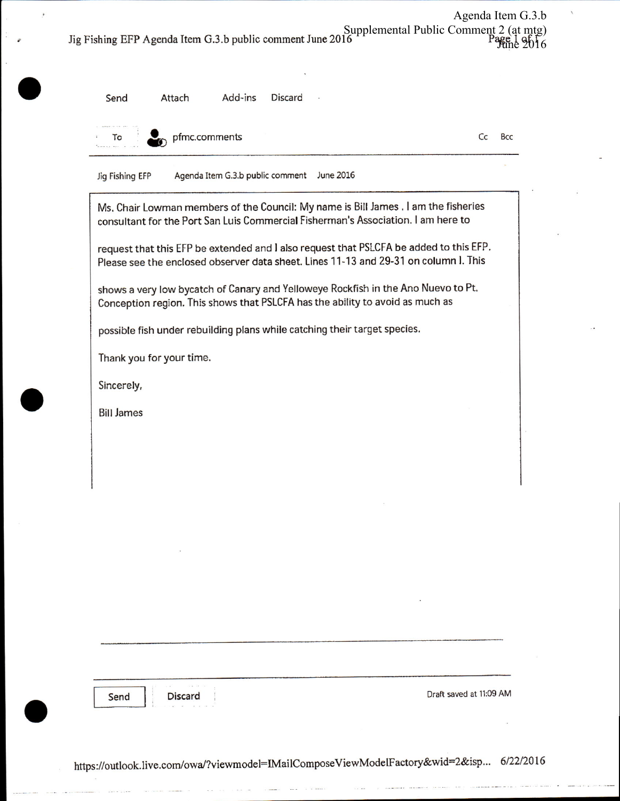Agenda Item G.3.b Supplemental Public Comment 2 (at mtg)<br>Jig Fishing EFP Agenda Item G.3.b public comment June 2016

Send

Add-ins Discard Attach

To

pfmc.comments

Cc Bcc

Agenda Item G.3.b public comment June 2016 Jig Fishing EFP

Ms, Chair Lowman members of the Council: My name is Bill James . I am the fisheries consultant for the Port San Luis Commercial Fisherman's Association. I am here to

request that this EFP be extended and I also request that PSLCFA be added to this EFP. Please see the enclosed observer data sheet. Lines 11-13 and 29-31 on column I. This

shows a very low bycatch of Canary and Yelloweye Rockfish in the Ano Nuevo to Pt. Conception region. This shows that PSLCFA has the ability to avoid as much as

possible fish under rebuilding plans while catching their target species.

Thank you for your time.

Sincerely,

**Bill James** 

Send

Discard

Draft saved at 11:09 AM

https://outlook.live.com/owa/?viewmodel=IMailComposeViewModelFactory&wid=2&isp... 6/22/2016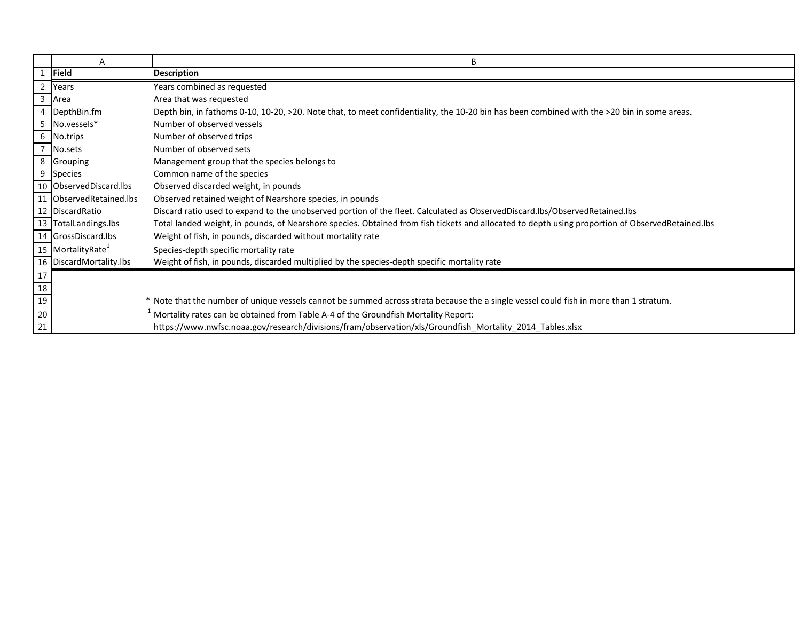|                                                                          | A                             | B                                                                                                                                                |
|--------------------------------------------------------------------------|-------------------------------|--------------------------------------------------------------------------------------------------------------------------------------------------|
|                                                                          | Field                         | <b>Description</b>                                                                                                                               |
| 2                                                                        | Years                         | Years combined as requested                                                                                                                      |
| $\overline{3}$                                                           | Area                          | Area that was requested                                                                                                                          |
|                                                                          | DepthBin.fm                   | Depth bin, in fathoms 0-10, 10-20, >20. Note that, to meet confidentiality, the 10-20 bin has been combined with the >20 bin in some areas.      |
| 5                                                                        | No.vessels*                   | Number of observed vessels                                                                                                                       |
|                                                                          | 6 No.trips                    | Number of observed trips                                                                                                                         |
|                                                                          | No.sets                       | Number of observed sets                                                                                                                          |
|                                                                          | 8 Grouping                    | Management group that the species belongs to                                                                                                     |
| 9                                                                        | <b>Species</b>                | Common name of the species                                                                                                                       |
|                                                                          | 10 ObservedDiscard.lbs        | Observed discarded weight, in pounds                                                                                                             |
| 11                                                                       | ObservedRetained.lbs          | Observed retained weight of Nearshore species, in pounds                                                                                         |
|                                                                          | 12 DiscardRatio               | Discard ratio used to expand to the unobserved portion of the fleet. Calculated as ObservedDiscard.lbs/ObservedRetained.lbs                      |
|                                                                          | 13 TotalLandings.lbs          | Total landed weight, in pounds, of Nearshore species. Obtained from fish tickets and allocated to depth using proportion of ObservedRetained.lbs |
|                                                                          | 14 GrossDiscard.lbs           | Weight of fish, in pounds, discarded without mortality rate                                                                                      |
|                                                                          | 15 MortalityRate <sup>1</sup> | Species-depth specific mortality rate                                                                                                            |
|                                                                          | 16 DiscardMortality.lbs       | Weight of fish, in pounds, discarded multiplied by the species-depth specific mortality rate                                                     |
| $17$                                                                     |                               |                                                                                                                                                  |
|                                                                          |                               |                                                                                                                                                  |
|                                                                          |                               | * Note that the number of unique vessels cannot be summed across strata because the a single vessel could fish in more than 1 stratum.           |
|                                                                          |                               | Mortality rates can be obtained from Table A-4 of the Groundfish Mortality Report:                                                               |
| $\begin{array}{r} 18 \\ \hline 19 \\ \hline 20 \\ \hline 21 \end{array}$ |                               | https://www.nwfsc.noaa.gov/research/divisions/fram/observation/xls/Groundfish Mortality 2014 Tables.xlsx                                         |